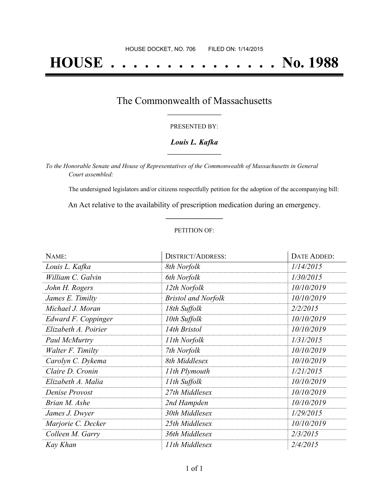# **HOUSE . . . . . . . . . . . . . . . No. 1988**

## The Commonwealth of Massachusetts **\_\_\_\_\_\_\_\_\_\_\_\_\_\_\_\_\_**

#### PRESENTED BY:

#### *Louis L. Kafka* **\_\_\_\_\_\_\_\_\_\_\_\_\_\_\_\_\_**

*To the Honorable Senate and House of Representatives of the Commonwealth of Massachusetts in General Court assembled:*

The undersigned legislators and/or citizens respectfully petition for the adoption of the accompanying bill:

An Act relative to the availability of prescription medication during an emergency. **\_\_\_\_\_\_\_\_\_\_\_\_\_\_\_**

#### PETITION OF:

| NAME:                | <b>DISTRICT/ADDRESS:</b>   | DATE ADDED: |  |
|----------------------|----------------------------|-------------|--|
| Louis L. Kafka       | 8th Norfolk                | 1/14/2015   |  |
| William C. Galvin    | 6th Norfolk                | 1/30/2015   |  |
| John H. Rogers       | 12th Norfolk               | 10/10/2019  |  |
| James E. Timilty     | <b>Bristol and Norfolk</b> | 10/10/2019  |  |
| Michael J. Moran     | 18th Suffolk               | 2/2/2015    |  |
| Edward F. Coppinger  | 10th Suffolk               | 10/10/2019  |  |
| Elizabeth A. Poirier | 14th Bristol               | 10/10/2019  |  |
| Paul McMurtry        | 11th Norfolk               | 1/31/2015   |  |
| Walter F. Timilty    | 7th Norfolk                | 10/10/2019  |  |
| Carolyn C. Dykema    | 8th Middlesex              | 10/10/2019  |  |
| Claire D. Cronin     | 11th Plymouth              | 1/21/2015   |  |
| Elizabeth A. Malia   | 11th Suffolk               | 10/10/2019  |  |
| Denise Provost       | 27th Middlesex             | 10/10/2019  |  |
| Brian M. Ashe        | 2nd Hampden                | 10/10/2019  |  |
| James J. Dwyer       | 30th Middlesex             | 1/29/2015   |  |
| Marjorie C. Decker   | 25th Middlesex             | 10/10/2019  |  |
| Colleen M. Garry     | 36th Middlesex             | 2/3/2015    |  |
| Kay Khan             | 11th Middlesex             | 2/4/2015    |  |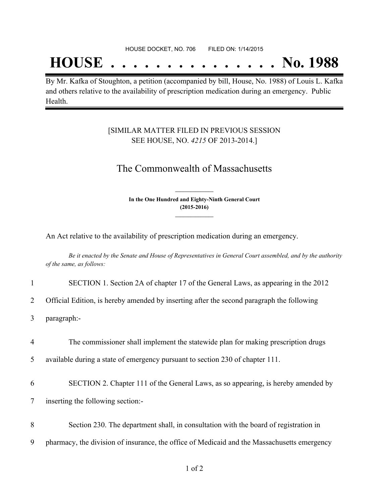## **HOUSE . . . . . . . . . . . . . . . No. 1988**

By Mr. Kafka of Stoughton, a petition (accompanied by bill, House, No. 1988) of Louis L. Kafka and others relative to the availability of prescription medication during an emergency. Public Health.

### [SIMILAR MATTER FILED IN PREVIOUS SESSION SEE HOUSE, NO. *4215* OF 2013-2014.]

## The Commonwealth of Massachusetts

**In the One Hundred and Eighty-Ninth General Court (2015-2016) \_\_\_\_\_\_\_\_\_\_\_\_\_\_\_**

**\_\_\_\_\_\_\_\_\_\_\_\_\_\_\_**

An Act relative to the availability of prescription medication during an emergency.

Be it enacted by the Senate and House of Representatives in General Court assembled, and by the authority *of the same, as follows:*

|  | SECTION 1. Section 2A of chapter 17 of the General Laws, as appearing in the 2012 |  |  |  |  |  |
|--|-----------------------------------------------------------------------------------|--|--|--|--|--|
|--|-----------------------------------------------------------------------------------|--|--|--|--|--|

2 Official Edition, is hereby amended by inserting after the second paragraph the following

3 paragraph:-

4 The commissioner shall implement the statewide plan for making prescription drugs

5 available during a state of emergency pursuant to section 230 of chapter 111.

6 SECTION 2. Chapter 111 of the General Laws, as so appearing, is hereby amended by

7 inserting the following section:-

8 Section 230. The department shall, in consultation with the board of registration in

9 pharmacy, the division of insurance, the office of Medicaid and the Massachusetts emergency